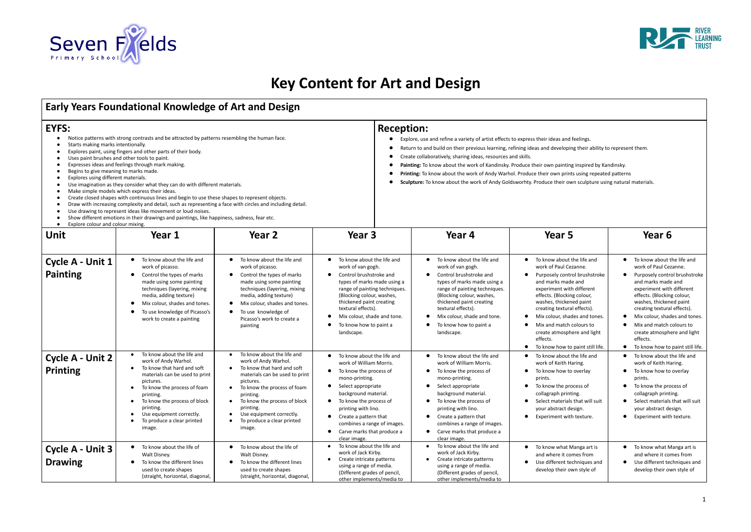

# **Key Content for Art and Design**

## **Early Years Foundational Knowledge of Art and Design**

 $\Gamma$ 

- 
- 
- 
- 
- 
- Begins to give meaning to marks made.
- Explores using different materials.
- 
- 
- 
- 
- 
- 

- 
- 
- 
- 
- 
- 

| Early Years Foundational Knowledge of Art and Design                                                                                                             |                                                                                                                                                                                                                                                                                                                                                                                                                                                                                                                                                                                                                                                                                                                                                                                   |                                                                                                                                                                                                                                                                                                                                                  |                                                                                                                                                                                                                                                                                                                     |                                                                                                                                                                                                                                                                                                                                                                                                                                                                                                                                                                                                                                |                                                                                                                                                                                                                                                                                                                                                                                                                                   |                                                                                                                                                                                                                                                                                                                                                                               |  |  |  |  |
|------------------------------------------------------------------------------------------------------------------------------------------------------------------|-----------------------------------------------------------------------------------------------------------------------------------------------------------------------------------------------------------------------------------------------------------------------------------------------------------------------------------------------------------------------------------------------------------------------------------------------------------------------------------------------------------------------------------------------------------------------------------------------------------------------------------------------------------------------------------------------------------------------------------------------------------------------------------|--------------------------------------------------------------------------------------------------------------------------------------------------------------------------------------------------------------------------------------------------------------------------------------------------------------------------------------------------|---------------------------------------------------------------------------------------------------------------------------------------------------------------------------------------------------------------------------------------------------------------------------------------------------------------------|--------------------------------------------------------------------------------------------------------------------------------------------------------------------------------------------------------------------------------------------------------------------------------------------------------------------------------------------------------------------------------------------------------------------------------------------------------------------------------------------------------------------------------------------------------------------------------------------------------------------------------|-----------------------------------------------------------------------------------------------------------------------------------------------------------------------------------------------------------------------------------------------------------------------------------------------------------------------------------------------------------------------------------------------------------------------------------|-------------------------------------------------------------------------------------------------------------------------------------------------------------------------------------------------------------------------------------------------------------------------------------------------------------------------------------------------------------------------------|--|--|--|--|
| EYFS:<br>Starts making marks intentionally.<br>Begins to give meaning to marks made.<br>Explores using different materials.<br>Explore colour and colour mixing. | Notice patterns with strong contrasts and be attracted by patterns resembling the human face.<br>Explores paint, using fingers and other parts of their body.<br>Uses paint brushes and other tools to paint.<br>Expresses ideas and feelings through mark making.<br>Use imagination as they consider what they can do with different materials.<br>Make simple models which express their ideas.<br>Create closed shapes with continuous lines and begin to use these shapes to represent objects.<br>Draw with increasing complexity and detail, such as representing a face with circles and including detail.<br>Use drawing to represent ideas like movement or loud noises.<br>Show different emotions in their drawings and paintings, like happiness, sadness, fear etc. |                                                                                                                                                                                                                                                                                                                                                  | $\bullet$<br>$\bullet$<br>$\bullet$<br>$\bullet$<br>$\bullet$                                                                                                                                                                                                                                                       | <b>Reception:</b><br>Explore, use and refine a variety of artist effects to express their ideas and feelings.<br>Return to and build on their previous learning, refining ideas and developing their ability to represent them.<br>Create collaboratively, sharing ideas, resources and skills.<br>Painting: To know about the work of Kandinsky. Produce their own painting inspired by Kandinsky.<br><b>Printing:</b> To know about the work of Andy Warhol. Produce their own prints using repeated patterns<br>Sculpture: To know about the work of Andy Goldsworhty. Produce their own sculpture using natural materials. |                                                                                                                                                                                                                                                                                                                                                                                                                                   |                                                                                                                                                                                                                                                                                                                                                                               |  |  |  |  |
| Unit                                                                                                                                                             | Year 1                                                                                                                                                                                                                                                                                                                                                                                                                                                                                                                                                                                                                                                                                                                                                                            | Year 2                                                                                                                                                                                                                                                                                                                                           | Year <sub>3</sub>                                                                                                                                                                                                                                                                                                   | Year 4                                                                                                                                                                                                                                                                                                                                                                                                                                                                                                                                                                                                                         | Year 5                                                                                                                                                                                                                                                                                                                                                                                                                            | Year 6                                                                                                                                                                                                                                                                                                                                                                        |  |  |  |  |
| Cycle A - Unit 1<br><b>Painting</b>                                                                                                                              | To know about the life and<br>$\bullet$<br>work of picasso.<br>Control the types of marks<br>$\bullet$<br>made using some painting<br>techniques (layering, mixing<br>media, adding texture)<br>Mix colour, shades and tones<br>$\bullet$<br>To use knowledge of Picasso's<br>work to create a painting                                                                                                                                                                                                                                                                                                                                                                                                                                                                           | • To know about the life and<br>work of picasso.<br>Control the types of marks<br>$\bullet$<br>made using some painting<br>techniques (layering, mixing<br>media, adding texture)<br>Mix colour, shades and tones.<br>$\bullet$<br>To use knowledge of<br>$\bullet$<br>Picasso's work to create a<br>painting                                    | • To know about the life and<br>work of van gogh.<br>Control brushstroke and<br>types of marks made using a<br>range of painting techniques.<br>(Blocking colour, washes,<br>thickened paint creating<br>textural effects).<br>Mix colour, shade and tone.<br>$\bullet$<br>To know how to paint a<br>landscape.     | To know about the life and<br>$\bullet$<br>work of van gogh.<br>Control brushstroke and<br>$\bullet$<br>types of marks made using a<br>range of painting techniques.<br>(Blocking colour, washes,<br>thickened paint creating<br>textural effects).<br>Mix colour, shade and tone.<br>$\bullet$<br>To know how to paint a<br>landscape.                                                                                                                                                                                                                                                                                        | • To know about the life and<br>work of Paul Cezanne.<br>Purposely control brushstroke<br>$\bullet$<br>and marks made and<br>experiment with different<br>effects. (Blocking colour,<br>washes, thickened paint<br>creating textural effects).<br>Mix colour, shades and tones.<br>$\bullet$<br>Mix and match colours to<br>$\bullet$<br>create atmosphere and light<br>effects.<br>To know how to paint still life.<br>$\bullet$ | • To know about the life and<br>work of Paul Cezanne.<br>Purposely control brushstroke<br>and marks made and<br>experiment with different<br>effects. (Blocking colour,<br>washes, thickened paint<br>creating textural effects).<br>Mix colour, shades and tones.<br>Mix and match colours to<br>create atmosphere and light<br>effects.<br>To know how to paint still life. |  |  |  |  |
| <b>Cycle A - Unit 2</b><br><b>Printing</b>                                                                                                                       | To know about the life and<br>$\bullet$<br>work of Andy Warhol.<br>To know that hard and soft<br>materials can be used to print<br>pictures.<br>To know the process of foam<br>printing.<br>To know the process of block<br>$\bullet$<br>printing.<br>Use equipment correctly.<br>To produce a clear printed<br>image.                                                                                                                                                                                                                                                                                                                                                                                                                                                            | To know about the life and<br>$\bullet$<br>work of Andy Warhol.<br>To know that hard and soft<br>materials can be used to print<br>pictures.<br>To know the process of foam<br>printing.<br>To know the process of block<br>$\bullet$<br>printing.<br>Use equipment correctly.<br>$\bullet$<br>To produce a clear printed<br>$\bullet$<br>image. | To know about the life and<br>work of William Morris.<br>To know the process of<br>mono-printing.<br>Select appropriate<br>background material.<br>To know the process of<br>$\bullet$<br>printing with lino.<br>Create a pattern that<br>combines a range of images.<br>Carve marks that produce a<br>clear image. | To know about the life and<br>$\bullet$<br>work of William Morris.<br>To know the process of<br>$\bullet$<br>mono-printing.<br>Select appropriate<br>background material.<br>To know the process of<br>$\bullet$<br>printing with lino.<br>Create a pattern that<br>$\bullet$<br>combines a range of images.<br>Carve marks that produce a<br>$\bullet$<br>clear image.                                                                                                                                                                                                                                                        | To know about the life and<br>work of Keith Haring.<br>To know how to overlay<br>prints.<br>• To know the process of<br>collagraph printing.<br>• Select materials that will suit<br>your abstract design.<br>Experiment with texture.<br>$\bullet$                                                                                                                                                                               | To know about the life and<br>work of Keith Haring.<br>To know how to overlay<br>prints.<br>• To know the process of<br>collagraph printing.<br>Select materials that will suit<br>your abstract design.<br>Experiment with texture.                                                                                                                                          |  |  |  |  |
| Cycle A - Unit 3<br><b>Drawing</b>                                                                                                                               | To know about the life of<br>$\bullet$<br>Walt Disney.<br>To know the different lines<br>$\bullet$<br>used to create shapes<br>(straight, horizontal, diagonal,                                                                                                                                                                                                                                                                                                                                                                                                                                                                                                                                                                                                                   | To know about the life of<br>$\bullet$<br>Walt Disney.<br>To know the different lines<br>$\bullet$<br>used to create shapes<br>(straight, horizontal, diagonal,                                                                                                                                                                                  | To know about the life and<br>work of Jack Kirby.<br>Create intricate patterns<br>using a range of media.<br>(Different grades of pencil,<br>other implements/media to                                                                                                                                              | To know about the life and<br>work of Jack Kirby.<br>Create intricate patterns<br>using a range of media.<br>(Different grades of pencil,<br>other implements/media to                                                                                                                                                                                                                                                                                                                                                                                                                                                         | To know what Manga art is<br>and where it comes from<br>Use different techniques and<br>$\bullet$<br>develop their own style of                                                                                                                                                                                                                                                                                                   | To know what Manga art is<br>and where it comes from<br>Use different techniques and<br>develop their own style of                                                                                                                                                                                                                                                            |  |  |  |  |